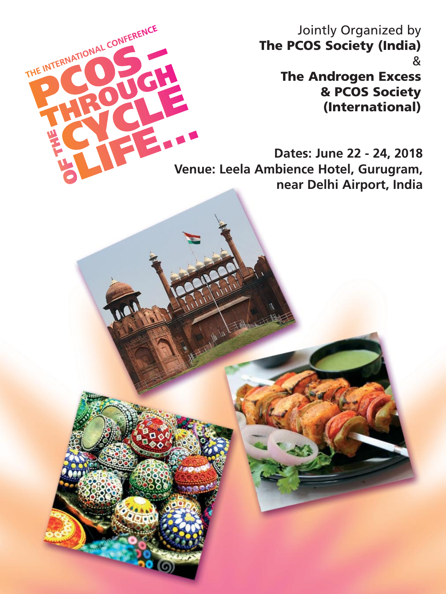Jointly Organized by **The PCOS Society (India)** & **The Androgen Excess & PCOS Society**

**(International)**

**Dates: June 22 - 24, 2018 Venue: Leela Ambience Hotel, Gurugram, near Delhi Airport, India**

THE INTERNATIONAL CONFERENCE

G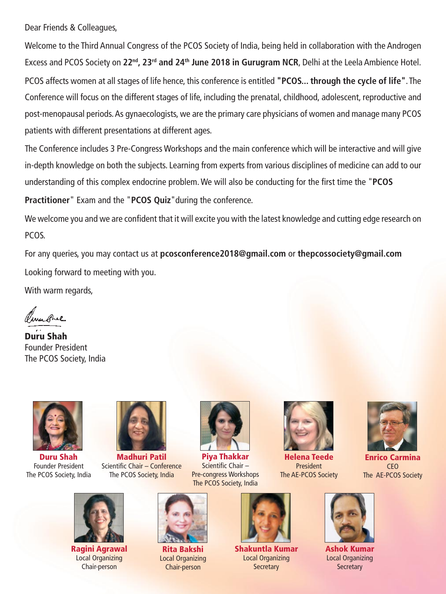Dear Friends & Colleagues,

Welcome to the Third Annual Congress of the PCOS Society of India, being held in collaboration with the Androgen Excess and PCOS Society on **22nd, 23rd and 24th June 2018 in Gurugram NCR**, Delhi at the Leela Ambience Hotel. PCOS affects women at all stages of life hence, this conference is entitled **"PCOS... through the cycle of life"**. The Conference will focus on the different stages of life, including the prenatal, childhood, adolescent, reproductive and post-menopausal periods. As gynaecologists, we are the primary care physicians of women and manage many PCOS patients with different presentations at different ages.

The Conference includes 3 Pre-Congress Workshops and the main conference which will be interactive and will give in-depth knowledge on both the subjects. Learning from experts from various disciplines of medicine can add to our understanding of this complex endocrine problem. We will also be conducting for the first time the "**PCOS**

**Practitioner**" Exam and the "**PCOS Quiz**"during the conference.

We welcome you and we are confident that it will excite you with the latest knowledge and cutting edge research on PCOS.

For any queries, you may contact us at **pcosconference2018@gmail.com** or **thepcossociety@gmail.com** Looking forward to meeting with you.

With warm regards,

eres anal

**Duru Shah** Founder President The PCOS Society, India



**Duru Shah** Founder President The PCOS Society, India



**Madhuri Patil** Scientific Chair – Conference The PCOS Society, India



**Piya Thakkar** Scientific Chair – Pre-congress Workshops The PCOS Society, India



**Helena Teede** President The AE-PCOS Society



**Enrico Carmina** CEO The AE-PCOS Society



**Ragini Agrawal** Local Organizing Chair-person



**Rita Bakshi** Local Organizing Chair-person



**Shakuntla Kumar** Local Organizing **Secretary** 



**Ashok Kumar** Local Organizing **Secretary**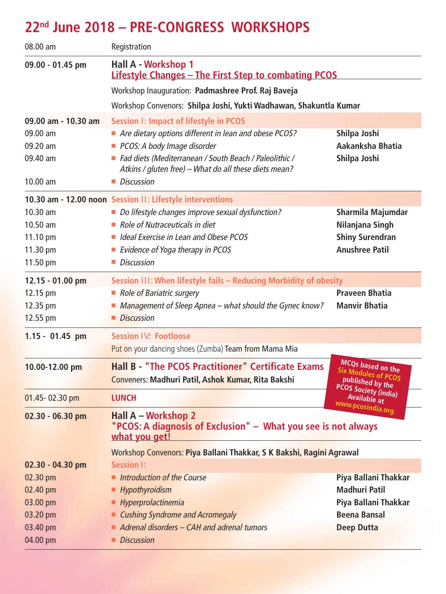## **22nd June 2018 – PRE-CONGRESS WORKSHOPS**

| 08.00 am                                                                                                                         | Registration                                                                                                      |                                                                         |  |
|----------------------------------------------------------------------------------------------------------------------------------|-------------------------------------------------------------------------------------------------------------------|-------------------------------------------------------------------------|--|
| 09.00 - 01.45 pm                                                                                                                 | Hall A - Workshop 1<br><b>Lifestyle Changes - The First Step to combating PCOS</b>                                |                                                                         |  |
|                                                                                                                                  | Workshop Inauguration: Padmashree Prof. Raj Baveja                                                                |                                                                         |  |
|                                                                                                                                  | Workshop Convenors: Shilpa Joshi, Yukti Wadhawan, Shakuntla Kumar                                                 |                                                                         |  |
| 09.00 am - 10.30 am                                                                                                              | <b>Session I: Impact of lifestyle in PCOS</b>                                                                     |                                                                         |  |
| 09.00 am                                                                                                                         | Are dietary options different in lean and obese PCOS?                                                             | Shilpa Joshi                                                            |  |
| 09.20 am                                                                                                                         | PCOS: A body Image disorder                                                                                       | Aakanksha Bhatia                                                        |  |
| 09.40 am                                                                                                                         | ■ Fad diets (Mediterranean / South Beach / Paleolithic /<br>Atkins / gluten free) - What do all these diets mean? | Shilpa Joshi                                                            |  |
| $10.00$ am                                                                                                                       | Discussion                                                                                                        |                                                                         |  |
|                                                                                                                                  | 10.30 am - 12.00 noon Session II: Lifestyle interventions                                                         |                                                                         |  |
| $10.30$ am                                                                                                                       | Do lifestyle changes improve sexual dysfunction?                                                                  | Sharmila Majumdar                                                       |  |
| $10.50$ am                                                                                                                       | $\blacksquare$ Role of Nutraceuticals in diet                                                                     | Nilanjana Singh                                                         |  |
| 11.10 pm                                                                                                                         | In Ideal Exercise in Lean and Obese PCOS                                                                          | <b>Shiny Surendran</b>                                                  |  |
| 11.30 pm                                                                                                                         | Evidence of Yoga therapy in PCOS                                                                                  | <b>Anushree Patil</b>                                                   |  |
| 11.50 pm                                                                                                                         | Discussion                                                                                                        |                                                                         |  |
| 12.15 - 01.00 pm                                                                                                                 | Session III: When lifestyle fails - Reducing Morbidity of obesity                                                 |                                                                         |  |
| 12.15 pm                                                                                                                         | Role of Bariatric surgery                                                                                         | <b>Praveen Bhatia</b>                                                   |  |
| 12.35 pm                                                                                                                         | ■ Management of Sleep Apnea – what should the Gynec know?                                                         | <b>Manvir Bhatia</b>                                                    |  |
| 12.55 pm                                                                                                                         | Discussion                                                                                                        |                                                                         |  |
| 1.15 - 01.45 pm                                                                                                                  | Session IV: Footloose                                                                                             |                                                                         |  |
|                                                                                                                                  | Put on your dancing shoes (Zumba) Team from Mama Mia                                                              |                                                                         |  |
| 10.00-12.00 pm                                                                                                                   | <b>Hall B - "The PCOS Practitioner" Certificate Exams</b><br>Conveners: Madhuri Patil, Ashok Kumar, Rita Bakshi   | MCQs based on the<br><b>Six Modules of PCOS</b><br>published by the     |  |
| 01.45-02.30 pm                                                                                                                   | <b>LUNCH</b>                                                                                                      | <b>PCOS Society (india)</b><br><b>Available at</b><br>www.pcosindia.org |  |
| <b>Hall A - Workshop 2</b><br>02.30 - 06.30 pm<br>"PCOS: A diagnosis of Exclusion" - What you see is not always<br>what you get! |                                                                                                                   |                                                                         |  |
|                                                                                                                                  | Workshop Convenors: Piya Ballani Thakkar, S K Bakshi, Ragini Agrawal                                              |                                                                         |  |
| 02.30 - 04.30 pm                                                                                                                 | Session I:                                                                                                        |                                                                         |  |
| 02.30 pm                                                                                                                         | Introduction of the Course                                                                                        | Piya Ballani Thakkar                                                    |  |
| 02.40 pm                                                                                                                         | ■ Hypothyroidism                                                                                                  | <b>Madhuri Patil</b>                                                    |  |
| 03.00 pm                                                                                                                         | - Hyperprolactinemia                                                                                              | Piya Ballani Thakkar                                                    |  |
| 03.20 pm                                                                                                                         | <b>Cushing Syndrome and Acromegaly</b>                                                                            | <b>Beena Bansal</b>                                                     |  |
| 03.40 pm                                                                                                                         | $\blacksquare$ Adrenal disorders - CAH and adrenal tumors                                                         | <b>Deep Dutta</b>                                                       |  |
| 04.00 pm                                                                                                                         | Discussion                                                                                                        |                                                                         |  |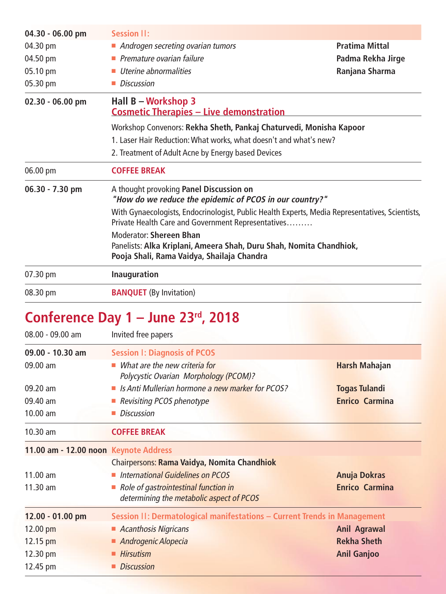| $04.30 - 06.00$ pm | <b>Session II:</b>                                                                                                                                    |                       |  |
|--------------------|-------------------------------------------------------------------------------------------------------------------------------------------------------|-----------------------|--|
| 04.30 pm           | Androgen secreting ovarian tumors                                                                                                                     | <b>Pratima Mittal</b> |  |
| 04.50 pm           | $\blacksquare$ Premature ovarian failure                                                                                                              | Padma Rekha Jirge     |  |
| 05.10 pm           | Uterine abnormalities                                                                                                                                 | Ranjana Sharma        |  |
| 05.30 pm           | ■ Discussion                                                                                                                                          |                       |  |
| 02.30 - 06.00 pm   | Hall B - Workshop 3<br><b>Cosmetic Therapies - Live demonstration</b>                                                                                 |                       |  |
|                    | Workshop Convenors: Rekha Sheth, Pankaj Chaturvedi, Monisha Kapoor                                                                                    |                       |  |
|                    | 1. Laser Hair Reduction: What works, what doesn't and what's new?                                                                                     |                       |  |
|                    | 2. Treatment of Adult Acne by Energy based Devices                                                                                                    |                       |  |
|                    | <b>COFFEE BREAK</b>                                                                                                                                   |                       |  |
| 06.00 pm           |                                                                                                                                                       |                       |  |
| $06.30 - 7.30$ pm  | A thought provoking Panel Discussion on<br>"How do we reduce the epidemic of PCOS in our country?"                                                    |                       |  |
|                    | With Gynaecologists, Endocrinologist, Public Health Experts, Media Representatives, Scientists,<br>Private Health Care and Government Representatives |                       |  |
|                    | Moderator: Shereen Bhan                                                                                                                               |                       |  |
|                    | Panelists: Alka Kriplani, Ameera Shah, Duru Shah, Nomita Chandhiok,<br>Pooja Shali, Rama Vaidya, Shailaja Chandra                                     |                       |  |
| 07.30 pm           | <b>Inauguration</b>                                                                                                                                   |                       |  |

# **Conference Day 1 – June 23rd, 2018**

| $08.00 - 09.00$ am | Invited free papers                                                              |                       |
|--------------------|----------------------------------------------------------------------------------|-----------------------|
| $09.00 - 10.30$ am | <b>Session I: Diagnosis of PCOS</b>                                              |                       |
| $09.00 \text{ am}$ | What are the new criteria for<br>Polycystic Ovarian Morphology (PCOM)?           | Harsh Mahajan         |
| $09.20 \text{ am}$ | Is Anti Mullerian hormone a new marker for PCOS?                                 | <b>Togas Tulandi</b>  |
| 09.40 am           | Revisiting PCOS phenotype                                                        | <b>Enrico Carmina</b> |
| $10.00$ am         | <b>Discussion</b>                                                                |                       |
| $10.30$ am         | <b>COFFEE BREAK</b>                                                              |                       |
|                    | 11.00 am - 12.00 noon Keynote Address                                            |                       |
|                    | Chairpersons: Rama Vaidya, Nomita Chandhiok                                      |                       |
| $11.00$ am         | International Guidelines on PCOS                                                 | <b>Anuja Dokras</b>   |
| $11.30$ am         | Role of gastrointestinal function in<br>determining the metabolic aspect of PCOS | <b>Enrico Carmina</b> |
| 12.00 - 01.00 pm   | Session II: Dermatological manifestations - Current Trends in Management         |                       |
| $12.00$ pm         | Acanthosis Nigricans                                                             | <b>Anil Agrawal</b>   |
| 12.15 pm           | Androgenic Alopecia                                                              | <b>Rekha Sheth</b>    |
| 12.30 pm           | <b>Hirsutism</b>                                                                 | <b>Anil Ganjoo</b>    |
| 12.45 pm           | <b>Discussion</b>                                                                |                       |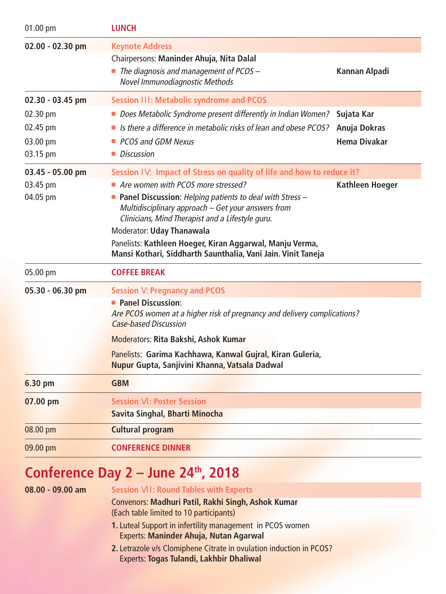| 01.00 pm                                 | <b>LUNCH</b>                                                                                                                                                                                                                                                                                                                                                                                                                                        |                              |
|------------------------------------------|-----------------------------------------------------------------------------------------------------------------------------------------------------------------------------------------------------------------------------------------------------------------------------------------------------------------------------------------------------------------------------------------------------------------------------------------------------|------------------------------|
| 02.00 - 02.30 pm                         | <b>Keynote Address</b><br>Chairpersons: Maninder Ahuja, Nita Dalal<br>$\blacksquare$ The diagnosis and management of PCOS -<br>Novel Immunodiagnostic Methods                                                                                                                                                                                                                                                                                       | Kannan Alpadi                |
| 02.30 - 03.45 pm<br>02.30 pm             | <b>Session III: Metabolic syndrome and PCOS</b><br>Does Metabolic Syndrome present differently in Indian Women?                                                                                                                                                                                                                                                                                                                                     | Sujata Kar                   |
| 02.45 pm<br>03.00 pm<br>03.15 pm         | $\blacksquare$ Is there a difference in metabolic risks of lean and obese PCOS?<br>• PCOS and GDM Nexus<br>• Discussion                                                                                                                                                                                                                                                                                                                             | Anuja Dokras<br>Hema Divakar |
| 03.45 - 05.00 pm<br>03.45 pm<br>04.05 pm | Session IV: Impact of Stress on quality of life and how to reduce it?<br>Are women with PCOS more stressed?<br><b>Panel Discussion:</b> Helping patients to deal with Stress $-$<br>Multidisciplinary approach - Get your answers from<br>Clinicians, Mind Therapist and a Lifestyle guru.<br>Moderator: Uday Thanawala<br>Panelists: Kathleen Hoeger, Kiran Aggarwal, Manju Verma,<br>Mansi Kothari, Siddharth Saunthalia, Vani Jain. Vinit Taneja | <b>Kathleen Hoeger</b>       |
| 05.00 pm                                 | <b>COFFEE BREAK</b>                                                                                                                                                                                                                                                                                                                                                                                                                                 |                              |
| 05.30 - 06.30 pm                         | <b>Session V: Pregnancy and PCOS</b><br><b>Panel Discussion:</b><br>Are PCOS women at a higher risk of pregnancy and delivery complications?<br><b>Case-based Discussion</b><br>Moderators: Rita Bakshi, Ashok Kumar<br>Panelists: Garima Kachhawa, Kanwal Gujral, Kiran Guleria,<br>Nupur Gupta, Sanjivini Khanna, Vatsala Dadwal                                                                                                                  |                              |
| 6.30 pm                                  | <b>GBM</b>                                                                                                                                                                                                                                                                                                                                                                                                                                          |                              |
| 07.00 pm                                 | <b>Session VI: Poster Session</b><br>Savita Singhal, Bharti Minocha                                                                                                                                                                                                                                                                                                                                                                                 |                              |
| 08.00 pm                                 | <b>Cultural program</b>                                                                                                                                                                                                                                                                                                                                                                                                                             |                              |
| 09.00 pm                                 | <b>CONFERENCE DINNER</b>                                                                                                                                                                                                                                                                                                                                                                                                                            |                              |
|                                          | Conference Day $2 -$ June $24th$ , 2018                                                                                                                                                                                                                                                                                                                                                                                                             |                              |

| $08.00 - 09.00$ am | <b>Session VII: Round Tables with Experts</b>                       |
|--------------------|---------------------------------------------------------------------|
|                    | Convenors: Madhuri Patil, Rakhi Singh, Ashok Kumar                  |
|                    | (Each table limited to 10 participants)                             |
|                    | 1. Luteal Support in infertility management in PCOS women           |
|                    | <b>Experts: Maninder Ahuja, Nutan Agarwal</b>                       |
|                    | 2. Letrazole v/s Clomiphene Citrate in ovulation induction in PCOS? |
|                    | <b>Experts: Togas Tulandi, Lakhbir Dhaliwal</b>                     |
|                    |                                                                     |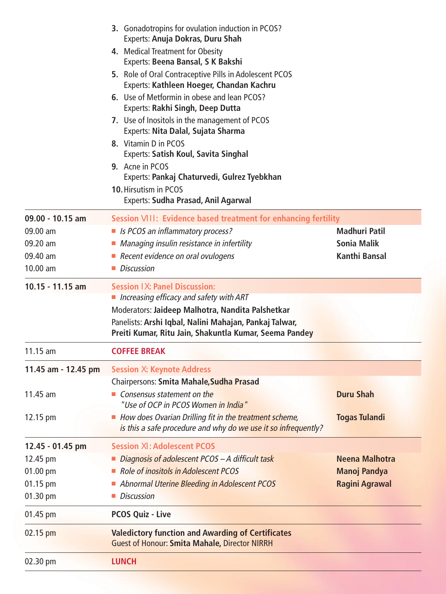|                     | 3. Gonadotropins for ovulation induction in PCOS?<br>Experts: Anuja Dokras, Duru Shah                                    |                       |
|---------------------|--------------------------------------------------------------------------------------------------------------------------|-----------------------|
|                     | 4. Medical Treatment for Obesity                                                                                         |                       |
|                     | Experts: Beena Bansal, S K Bakshi                                                                                        |                       |
|                     | 5. Role of Oral Contraceptive Pills in Adolescent PCOS<br>Experts: Kathleen Hoeger, Chandan Kachru                       |                       |
|                     | 6. Use of Metformin in obese and lean PCOS?<br>Experts: Rakhi Singh, Deep Dutta                                          |                       |
|                     | 7. Use of Inositols in the management of PCOS<br>Experts: Nita Dalal, Sujata Sharma                                      |                       |
|                     | 8. Vitamin D in PCOS<br><b>Experts: Satish Koul, Savita Singhal</b>                                                      |                       |
|                     | 9. Acne in PCOS<br>Experts: Pankaj Chaturvedi, Gulrez Tyebkhan                                                           |                       |
|                     | 10. Hirsutism in PCOS<br><b>Experts: Sudha Prasad, Anil Agarwal</b>                                                      |                       |
| $09.00 - 10.15$ am  | Session VIII: Evidence based treatment for enhancing fertility                                                           |                       |
| 09.00 am            | Is PCOS an inflammatory process?                                                                                         | <b>Madhuri Patil</b>  |
| 09.20 am            | • Managing insulin resistance in infertility                                                                             | <b>Sonia Malik</b>    |
| 09.40 am            | Recent evidence on oral ovulogens                                                                                        | Kanthi Bansal         |
| $10.00$ am          | $\blacksquare$ Discussion                                                                                                |                       |
| $10.15 - 11.15$ am  | <b>Session IX: Panel Discussion:</b>                                                                                     |                       |
|                     | Increasing efficacy and safety with ART                                                                                  |                       |
|                     | Moderators: Jaideep Malhotra, Nandita Palshetkar                                                                         |                       |
|                     | Panelists: Arshi Iqbal, Nalini Mahajan, Pankaj Talwar,<br>Preiti Kumar, Ritu Jain, Shakuntla Kumar, Seema Pandey         |                       |
| 11.15 am            | <b>COFFEE BREAK</b>                                                                                                      |                       |
| 11.45 am - 12.45 pm | <b>Session X: Keynote Address</b>                                                                                        |                       |
|                     | Chairpersons: Smita Mahale, Sudha Prasad                                                                                 |                       |
| $11.45$ am          | $\blacksquare$ Consensus statement on the<br>"Use of OCP in PCOS Women in India"                                         | <b>Duru Shah</b>      |
| 12.15 pm            | How does Ovarian Drilling fit in the treatment scheme,<br>is this a safe procedure and why do we use it so infrequently? | <b>Togas Tulandi</b>  |
| 12.45 - 01.45 pm    | <b>Session XI: Adolescent PCOS</b>                                                                                       |                       |
| 12.45 pm            | Diagnosis of adolescent PCOS - A difficult task                                                                          | Neena Malhotra        |
| 01.00 pm            | Role of inositols in Adolescent PCOS                                                                                     | <b>Manoj Pandya</b>   |
| 01.15 pm            | <b>Abnormal Uterine Bleeding in Adolescent PCOS</b>                                                                      | <b>Ragini Agrawal</b> |
| 01.30 pm            | Discussion                                                                                                               |                       |
| 01.45 pm            | <b>PCOS Quiz - Live</b>                                                                                                  |                       |
| $02.15$ pm          | <b>Valedictory function and Awarding of Certificates</b><br><b>Guest of Honour: Smita Mahale, Director NIRRH</b>         |                       |
| 02.30 pm            | <b>LUNCH</b>                                                                                                             |                       |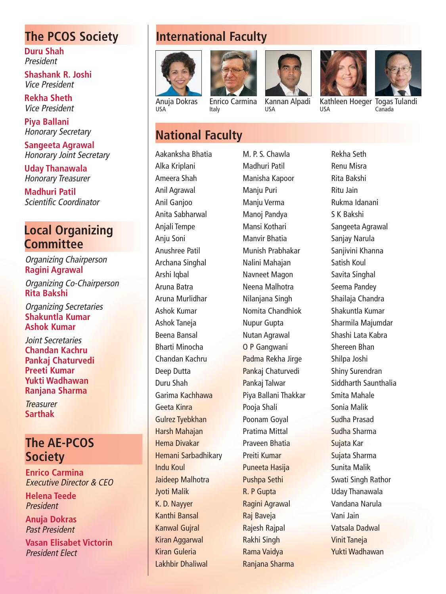#### **The PCOS Society**

**Duru Shah** President

**Shashank R. Joshi** Vice President

**Rekha Sheth** Vice President

**Piya Ballani** Honorary Secretary

**Sangeeta Agrawal** Honorary Joint Secretary

**Uday Thanawala** Honorary Treasurer

**Madhuri Patil** Scientific Coordinator

#### **Local Organizing Committee**

Organizing Chairperson **Ragini Agrawal**

Organizing Co-Chairperson **Rita Bakshi**

Organizing Secretaries **Shakuntla Kumar Ashok Kumar**

Joint Secretaries **Chandan Kachru Pankaj Chaturvedi Preeti Kumar Yukti Wadhawan Ranjana Sharma**

**Treasurer Sarthak**

#### **The AE-PCOS Society**

**Enrico Carmina** Executive Director & CEO

**Helena Teede** President

**Anuja Dokras** Past President

**Vasan Elisabet Victorin** President Elect

### **International Faculty**

Italy



USA





Kannan Alpadi USA



USA



Kathleen Hoeger Togas Tulandi Canada

#### **National Faculty**

Aakanksha Bhatia Alka Kriplani Ameera Shah Anil Agrawal Anil Ganjoo Anita Sabharwal Anjali Tempe Anju Soni Anushree Patil Archana Singhal Arshi Iqbal Aruna Batra Aruna Murlidhar Ashok Kumar Ashok Taneja Beena Bansal Bharti Minocha Chandan Kachru Deep Dutta Duru Shah Garima Kachhawa Geeta Kinra Gulrez Tyebkhan Harsh Mahajan Hema Divakar Hemani Sarbadhikary Indu Koul Jaideep Malhotra Jyoti Malik K. D. Nayyer Kanthi Bansal Kanwal Gujral Kiran Aggarwal Kiran Guleria Lakhbir Dhaliwal

M. P. S. Chawla Madhuri Patil Manisha Kapoor Manju Puri Manju Verma Manoj Pandya Mansi Kothari Manvir Bhatia Munish Prabhakar Nalini Mahajan Navneet Magon Neena Malhotra Nilanjana Singh Nomita Chandhiok Nupur Gupta Nutan Agrawal O P Gangwani Padma Rekha Jirge Pankaj Chaturvedi Pankaj Talwar Piya Ballani Thakkar Pooja Shali Poonam Goyal Pratima Mittal Praveen Bhatia Preiti Kumar Puneeta Hasija Pushpa Sethi R. P Gupta Ragini Agrawal Raj Baveja Rajesh Rajpal Rakhi Singh Rama Vaidya Ranjana Sharma

Rekha Seth Renu Misra Rita Bakshi Ritu Jain Rukma Idanani S K Bakshi Sangeeta Agrawal Sanjay Narula Sanjivini Khanna Satish Koul Savita Singhal Seema Pandey Shailaja Chandra Shakuntla Kumar Sharmila Majumdar Shashi Lata Kabra Shereen Bhan Shilpa Joshi Shiny Surendran Siddharth Saunthalia Smita Mahale Sonia Malik Sudha Prasad Sudha Sharma Sujata Kar Sujata Sharma Sunita Malik Swati Singh Rathor Uday Thanawala Vandana Narula Vani Jain Vatsala Dadwal Vinit Taneja Yukti Wadhawan